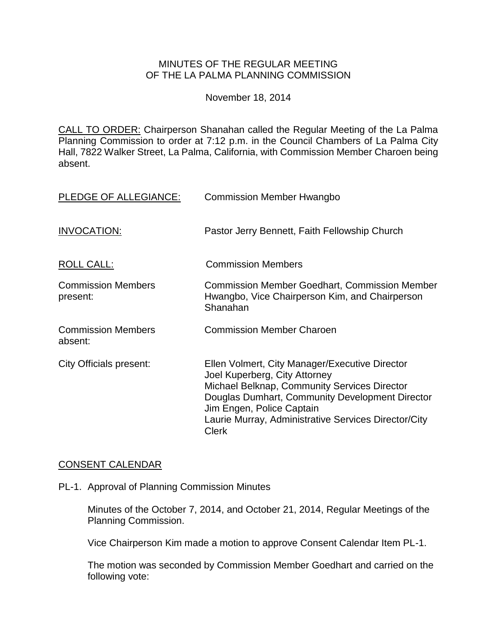### MINUTES OF THE REGULAR MEETING OF THE LA PALMA PLANNING COMMISSION

November 18, 2014

CALL TO ORDER: Chairperson [Shanahan called the Regular Meeting of the La Palma](http://lapalma.granicus.com/MediaPlayer.php?view_id=&clip_id=867&meta_id=114732)  Planning Commission to order at 7:12 [p.m. in the Council Chambers of La Palma City](http://lapalma.granicus.com/MediaPlayer.php?view_id=&clip_id=867&meta_id=114732)  [Hall, 7822 Walker Street, La Palma, California, with Commission](http://lapalma.granicus.com/MediaPlayer.php?view_id=&clip_id=867&meta_id=114732) Member Charoen being [absent.](http://lapalma.granicus.com/MediaPlayer.php?view_id=&clip_id=867&meta_id=114732)

| PLEDGE OF ALLEGIANCE:                 | <b>Commission Member Hwangbo</b>                                                                                                                                                                                                                                                 |
|---------------------------------------|----------------------------------------------------------------------------------------------------------------------------------------------------------------------------------------------------------------------------------------------------------------------------------|
| INVOCATION:                           | Pastor Jerry Bennett, Faith Fellowship Church                                                                                                                                                                                                                                    |
| <b>ROLL CALL:</b>                     | <b>Commission Members</b>                                                                                                                                                                                                                                                        |
| <b>Commission Members</b><br>present: | <b>Commission Member Goedhart, Commission Member</b><br>Hwangbo, Vice Chairperson Kim, and Chairperson<br>Shanahan                                                                                                                                                               |
| <b>Commission Members</b><br>absent:  | <b>Commission Member Charoen</b>                                                                                                                                                                                                                                                 |
| City Officials present:               | Ellen Volmert, City Manager/Executive Director<br>Joel Kuperberg, City Attorney<br>Michael Belknap, Community Services Director<br>Douglas Dumhart, Community Development Director<br>Jim Engen, Police Captain<br>Laurie Murray, Administrative Services Director/City<br>Clerk |

# [CONSENT CALENDAR](http://lapalma.granicus.com/MediaPlayer.php?view_id=&clip_id=867&meta_id=114749)

PL-1. Approval of Planning Commission Minutes

Minutes of the October 7, 2014, and October 21, 2014, Regular Meetings of the Planning Commission.

Vice Chairperson Kim made a motion to approve Consent Calendar Item PL-1.

The motion was seconded by Commission Member Goedhart and carried on the following vote: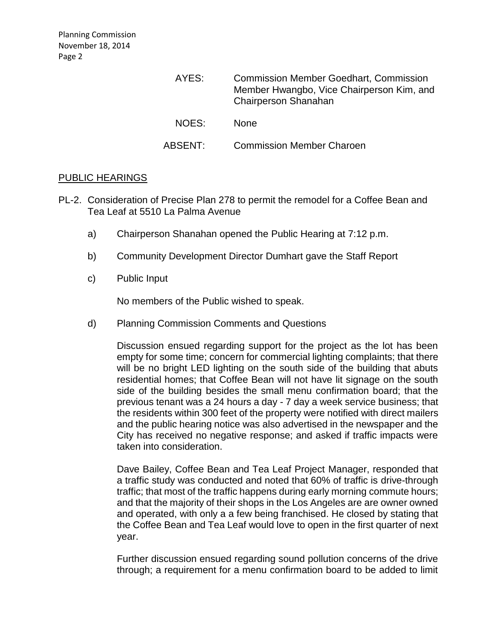| AYES:   | <b>Commission Member Goedhart, Commission</b><br>Member Hwangbo, Vice Chairperson Kim, and<br><b>Chairperson Shanahan</b> |
|---------|---------------------------------------------------------------------------------------------------------------------------|
| NOES:   | <b>None</b>                                                                                                               |
| ABSENT: | <b>Commission Member Charoen</b>                                                                                          |

### PUBLIC [HEARINGS](http://lapalma.granicus.com/MediaPlayer.php?view_id=&clip_id=867&meta_id=114752)

- PL-2. [Consideration of Precise Plan 278 to permit the remodel for a Coffee Bean and](http://lapalma.granicus.com/MediaPlayer.php?view_id=&clip_id=867&meta_id=114753)  [Tea Leaf at 5510 La Palma Avenue](http://lapalma.granicus.com/MediaPlayer.php?view_id=&clip_id=867&meta_id=114753)
	- a) [Chairperson Shanahan opened the](http://lapalma.granicus.com/MediaPlayer.php?view_id=&clip_id=867&meta_id=114754) Public Hearing at 7:12 p.m.
	- b) [Community Development Director Dumhart gave the](http://lapalma.granicus.com/MediaPlayer.php?view_id=&clip_id=867&meta_id=114755) Staff Report
	- c) [Public Input](http://lapalma.granicus.com/MediaPlayer.php?view_id=&clip_id=867&meta_id=114756)

No members of the Public wished to speak.

d) [Planning Commission Comments and Questions](http://lapalma.granicus.com/MediaPlayer.php?view_id=&clip_id=867&meta_id=114758)

Discussion ensued regarding support for the project as the lot has been empty for some time; concern for commercial lighting complaints; that there will be no bright LED lighting on the south side of the building that abuts residential homes; that Coffee Bean will not have lit signage on the south side of the building besides the small menu confirmation board; that the previous tenant was a 24 hours a day - 7 day a week service business; that the residents within 300 feet of the property were notified with direct mailers and the public hearing notice was also advertised in the newspaper and the City has received no negative response; and asked if traffic impacts were taken into consideration.

Dave Bailey, Coffee Bean and Tea Leaf Project Manager, responded that a traffic study was conducted and noted that 60% of traffic is drive-through traffic; that most of the traffic happens during early morning commute hours; and that the majority of their shops in the Los Angeles are are owner owned and operated, with only a a few being franchised. He closed by stating that the Coffee Bean and Tea Leaf would love to open in the first quarter of next year.

Further discussion ensued regarding sound pollution concerns of the drive through; a requirement for a menu confirmation board to be added to limit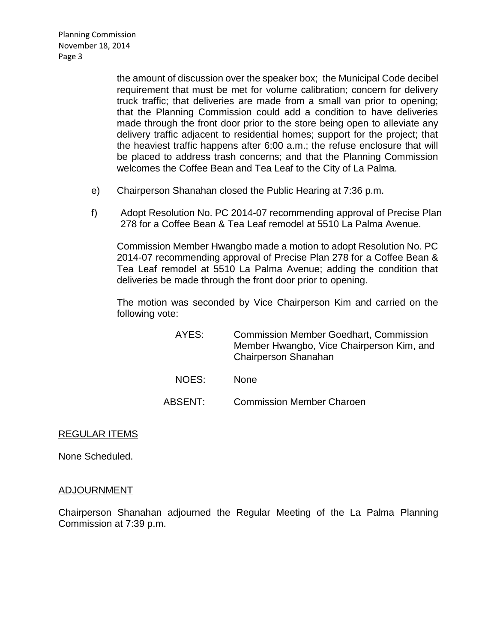Planning Commission November 18, 2014 Page 3

> the amount of discussion over the speaker box; the Municipal Code decibel requirement that must be met for volume calibration; concern for delivery truck traffic; that deliveries are made from a small van prior to opening; that the Planning Commission could add a condition to have deliveries made through the front door prior to the store being open to alleviate any delivery traffic adjacent to residential homes; support for the project; that the heaviest traffic happens after 6:00 a.m.; the refuse enclosure that will be placed to address trash concerns; and that the Planning Commission welcomes the Coffee Bean and Tea Leaf to the City of La Palma.

- e) Chairperson Shanahan closed the Public Hearing at 7:36 p.m.
- f) [Adopt Resolution No. PC 2014-07 recommending approval of Precise Plan](http://lapalma.granicus.com/MediaPlayer.php?view_id=&clip_id=867&meta_id=114759)  [278 for a Coffee Bean & Tea Leaf remodel at 5510 La Palma Avenue.](http://lapalma.granicus.com/MediaPlayer.php?view_id=&clip_id=867&meta_id=114759)

Commission Member Hwangbo made a motion to adopt Resolution No. PC 2014-07 recommending approval of Precise Plan 278 for a Coffee Bean & Tea Leaf remodel at 5510 La Palma Avenue; adding the condition that deliveries be made through the front door prior to opening.

The motion was seconded by Vice Chairperson Kim and carried on the following vote:

- AYES: Commission Member Goedhart, Commission Member Hwangbo, Vice Chairperson Kim, and Chairperson Shanahan NOES: None
- ABSENT: Commission Member Charoen

# REGULAR ITEMS

None Scheduled.

#### [ADJOURNMENT](http://lapalma.granicus.com/MediaPlayer.php?view_id=&clip_id=867&meta_id=114823)

Chairperson Shanahan adjourned the Regular Meeting of the La Palma Planning Commission at 7:39 p.m.